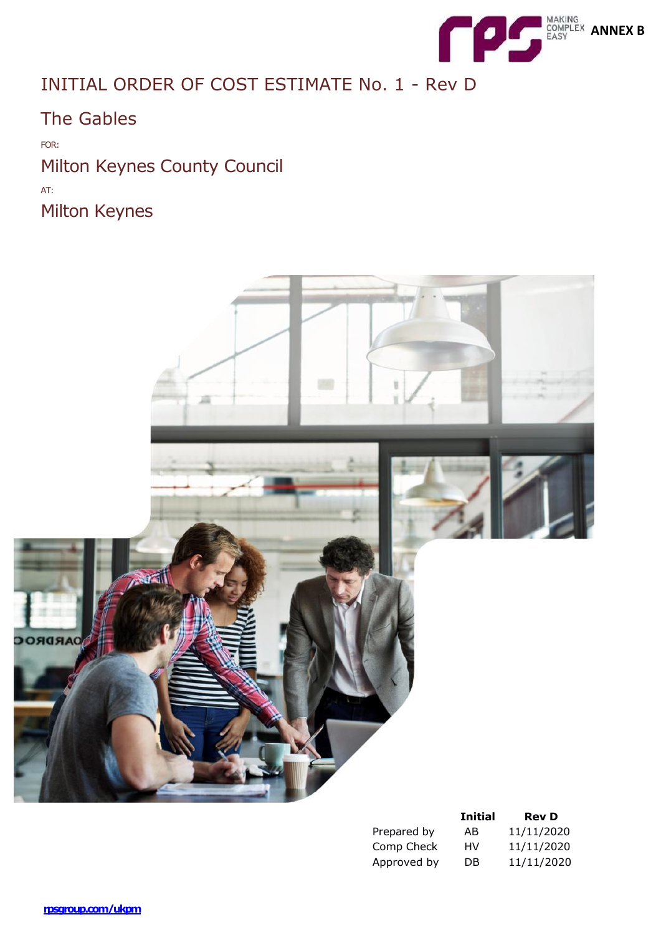

# INITIAL ORDER OF COST ESTIMATE No. 1 - Rev D

The Gables

FOR: Milton Keynes County Council AT: Milton Keynes



|             | <b>Initial</b> | <b>Rev D</b> |
|-------------|----------------|--------------|
| Prepared by | AB             | 11/11/2020   |
| Comp Check  | HV             | 11/11/2020   |
| Approved by | DB             | 11/11/2020   |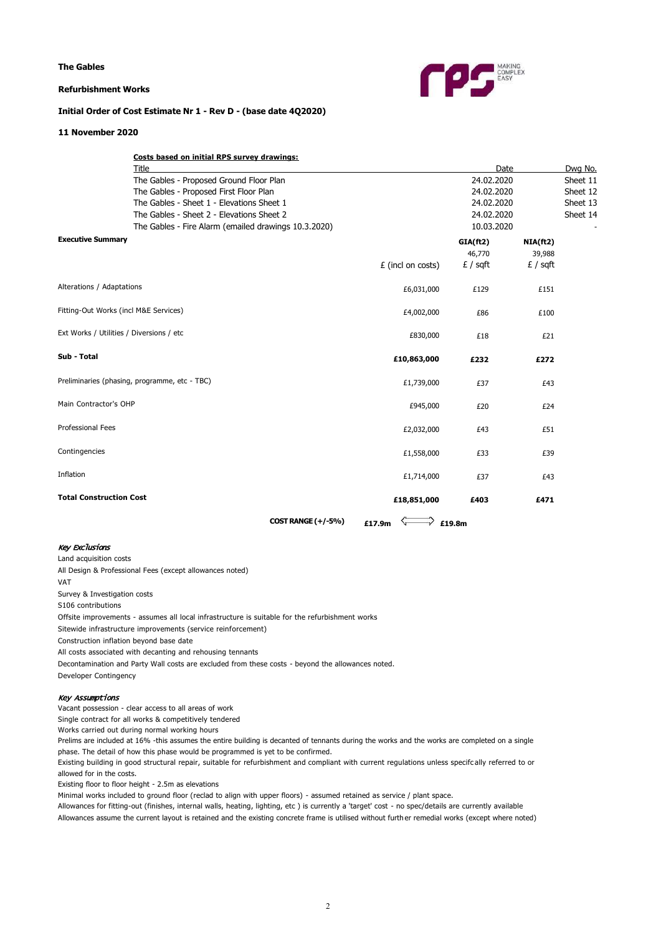**The Gables**

#### **Refurbishment Works**



## **Initial Order of Cost Estimate Nr 1 - Rev D - (base date 4Q2020)**

#### **11 November 2020**

| <b>COST RANGE (+/-5%)</b>                                                                                                     | £17.9m                                                                                                                                                                                                                                                                |             |                                                   |                                                                      |
|-------------------------------------------------------------------------------------------------------------------------------|-----------------------------------------------------------------------------------------------------------------------------------------------------------------------------------------------------------------------------------------------------------------------|-------------|---------------------------------------------------|----------------------------------------------------------------------|
|                                                                                                                               | £18,851,000                                                                                                                                                                                                                                                           | £403        | £471                                              |                                                                      |
|                                                                                                                               | £1,714,000                                                                                                                                                                                                                                                            | £37         | £43                                               |                                                                      |
|                                                                                                                               | £1,558,000                                                                                                                                                                                                                                                            | £33         | £39                                               |                                                                      |
|                                                                                                                               | £2,032,000                                                                                                                                                                                                                                                            | £43         | £51                                               |                                                                      |
|                                                                                                                               | £945,000                                                                                                                                                                                                                                                              | £20         | £24                                               |                                                                      |
|                                                                                                                               | £1,739,000                                                                                                                                                                                                                                                            | £37         | £43                                               |                                                                      |
|                                                                                                                               | £10,863,000                                                                                                                                                                                                                                                           | £232        | £272                                              |                                                                      |
|                                                                                                                               | £830,000                                                                                                                                                                                                                                                              | £18         | £21                                               |                                                                      |
|                                                                                                                               | £4,002,000                                                                                                                                                                                                                                                            | £86         | £100                                              |                                                                      |
|                                                                                                                               | £6,031,000                                                                                                                                                                                                                                                            | £129        | £151                                              |                                                                      |
|                                                                                                                               | £ (incl on costs)                                                                                                                                                                                                                                                     | $E / s$ qft | $f / \sqrt{f}$                                    |                                                                      |
|                                                                                                                               |                                                                                                                                                                                                                                                                       |             |                                                   |                                                                      |
| The Gables - Sheet 2 - Elevations Sheet 2<br>The Gables - Fire Alarm (emailed drawings 10.3.2020)<br><b>Executive Summary</b> |                                                                                                                                                                                                                                                                       |             |                                                   |                                                                      |
|                                                                                                                               |                                                                                                                                                                                                                                                                       |             | 24.02.2020                                        |                                                                      |
| The Gables - Sheet 1 - Elevations Sheet 1                                                                                     |                                                                                                                                                                                                                                                                       | 24.02.2020  |                                                   | Sheet 13                                                             |
| The Gables - Proposed First Floor Plan                                                                                        |                                                                                                                                                                                                                                                                       |             |                                                   | Sheet 12                                                             |
|                                                                                                                               |                                                                                                                                                                                                                                                                       |             |                                                   | Sheet 11                                                             |
|                                                                                                                               |                                                                                                                                                                                                                                                                       |             |                                                   | Dwg No.                                                              |
|                                                                                                                               | The Gables - Proposed Ground Floor Plan<br>Alterations / Adaptations<br>Fitting-Out Works (incl M&E Services)<br>Ext Works / Utilities / Diversions / etc<br>Preliminaries (phasing, programme, etc - TBC)<br>Main Contractor's OHP<br><b>Total Construction Cost</b> | Title       | GIA(ft2)<br>46,770<br>$\overrightarrow{r}$ £19.8m | Date<br>24.02.2020<br>24.02.2020<br>10.03.2020<br>NIA(ft2)<br>39,988 |

## Key Exclusions

Land acquisition costs

All Design & Professional Fees (except allowances noted)

VAT

Survey & Investigation costs

S106 contributions

Offsite improvements - assumes all local infrastructure is suitable for the refurbishment works

Sitewide infrastructure improvements (service reinforcement)

Construction inflation beyond base date

All costs associated with decanting and rehousing tennants

Decontamination and Party Wall costs are excluded from these costs - beyond the allowances noted.

Developer Contingency

### Key Assumptions

Vacant possession - clear access to all areas of work

Single contract for all works & competitively tendered

Works carried out during normal working hours

Prelims are included at 16% -this assumes the entire building is decanted of tennants during the works and the works are completed on a single phase. The detail of how this phase would be programmed is yet to be confirmed.

Existing building in good structural repair, suitable for refurbishment and compliant with current regulations unless specifc ally referred to or allowed for in the costs.

Existing floor to floor height - 2.5m as elevations

Minimal works included to ground floor (reclad to align with upper floors) - assumed retained as service / plant space.

Allowances for fitting-out (finishes, internal walls, heating, lighting, etc ) is currently a 'target' cost - no spec/details are currently available Allowances assume the current layout is retained and the existing concrete frame is utilised without furth er remedial works (except where noted)